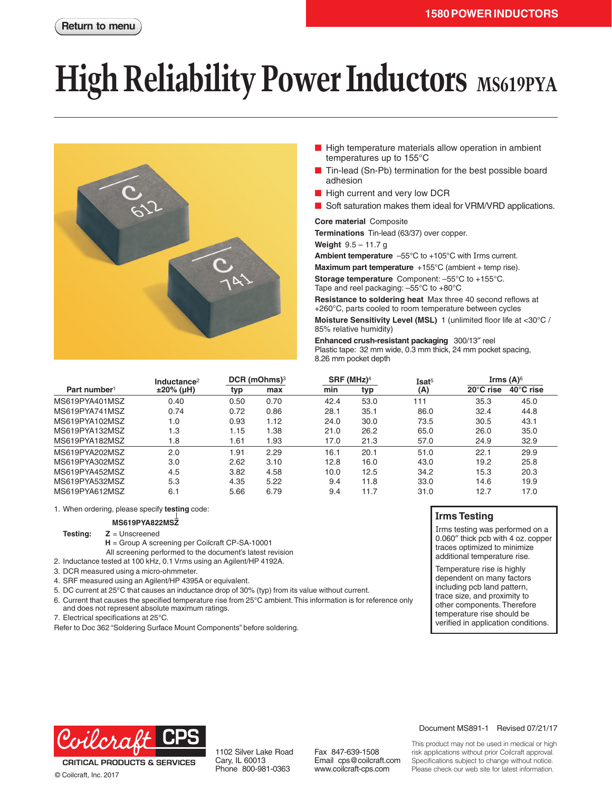# **High Reliability Power Inductors** MS619PYA



- High temperature materials allow operation in ambient temperatures up to 155°C
- Tin-lead (Sn-Pb) termination for the best possible board adhesion
- High current and very low DCR
- Soft saturation makes them ideal for VRM/VRD applications.

## **Core material** Composite

**Terminations** Tin-lead (63/37) over copper.

**Weight** 9.5 – 11.7 g

**Ambient temperature** –55°C to +105°C with Irms current.

**Maximum part temperature** +155°C (ambient + temp rise).

**Storage temperature** Component: –55°C to +155°C. Tape and reel packaging: –55°C to +80°C

**Resistance to soldering heat** Max three 40 second reflows at +260°C, parts cooled to room temperature between cycles **Moisture Sensitivity Level (MSL)** 1 (unlimited floor life at <30°C / 85% relative humidity)

**Enhanced crush-resistant packaging** 300/13″ reel Plastic tape: 32 mm wide, 0.3 mm thick, 24 mm pocket spacing, 8.26 mm pocket depth

|                          | Inductance <sup>2</sup> | DCR (mOhms) <sup>3</sup> |      | $SRF$ (MHz) <sup>4</sup> |      | Isat <sup>5</sup> | Irms $(A)$ <sup>6</sup> |           |
|--------------------------|-------------------------|--------------------------|------|--------------------------|------|-------------------|-------------------------|-----------|
| Part number <sup>1</sup> | $±20\%$ (µH)            | typ                      | max  | min                      | typ  | (A)               | 20°C rise               | 40°C rise |
| MS619PYA401MSZ           | 0.40                    | 0.50                     | 0.70 | 42.4                     | 53.0 | 111               | 35.3                    | 45.0      |
| MS619PYA741MSZ           | 0.74                    | 0.72                     | 0.86 | 28.1                     | 35.1 | 86.0              | 32.4                    | 44.8      |
| MS619PYA102MSZ           | 1.0                     | 0.93                     | 1.12 | 24.0                     | 30.0 | 73.5              | 30.5                    | 43.1      |
| MS619PYA132MSZ           | 1.3                     | 1.15                     | 1.38 | 21.0                     | 26.2 | 65.0              | 26.0                    | 35.0      |
| MS619PYA182MSZ           | 1.8                     | 1.61                     | 1.93 | 17.0                     | 21.3 | 57.0              | 24.9                    | 32.9      |
| MS619PYA202MSZ           | 2.0                     | 1.91                     | 2.29 | 16.1                     | 20.1 | 51.0              | 22.1                    | 29.9      |
| MS619PYA302MSZ           | 3.0                     | 2.62                     | 3.10 | 12.8                     | 16.0 | 43.0              | 19.2                    | 25.8      |
| MS619PYA452MSZ           | 4.5                     | 3.82                     | 4.58 | 10.0                     | 12.5 | 34.2              | 15.3                    | 20.3      |
| MS619PYA532MSZ           | 5.3                     | 4.35                     | 5.22 | 9.4                      | 11.8 | 33.0              | 14.6                    | 19.9      |
| MS619PYA612MSZ           | 6.1                     | 5.66                     | 6.79 | 9.4                      | 11.7 | 31.0              | 12.7                    | 17.0      |

1. When ordering, please specify **testing** code:

# **MS619PYA822MSZ**

**Testing: Z** = Unscreened

**H** = Group A screening per Coilcraft CP-SA-10001 All screening performed to the document's latest revision

- 2. Inductance tested at 100 kHz, 0.1 Vrms using an Agilent/HP 4192A.
- 3. DCR measured using a micro-ohmmeter.
- 4. SRF measured using an Agilent/HP 4395A or equivalent.
- 5. DC current at 25°C that causes an inductance drop of 30% (typ) from its value without current.
- 6. Current that causes the specified temperature rise from 25°C ambient. This information is for reference only and does not represent absolute maximum ratings.
- 7. Electrical specifications at 25°C.

Refer to Doc 362 "Soldering Surface Mount Components" before soldering.



Irms testing was performed on a 0.060″ thick pcb with 4 oz. copper traces optimized to minimize additional temperature rise.

Temperature rise is highly dependent on many factors including pcb land pattern, trace size, and proximity to other components. Therefore temperature rise should be verified in application conditions.



**CRITICAL PRODUCTS & SERVICES** © Coilcraft, Inc. 2017

Fax 847-639-1508 Email cps@coilcraft.com www.coilcraft-cps.com

### Document MS891-1 Revised 07/21/17

This product may not be used in medical or high risk applications without prior Coilcraft approval. Specifications subject to change without notice. Please check our web site for latest information.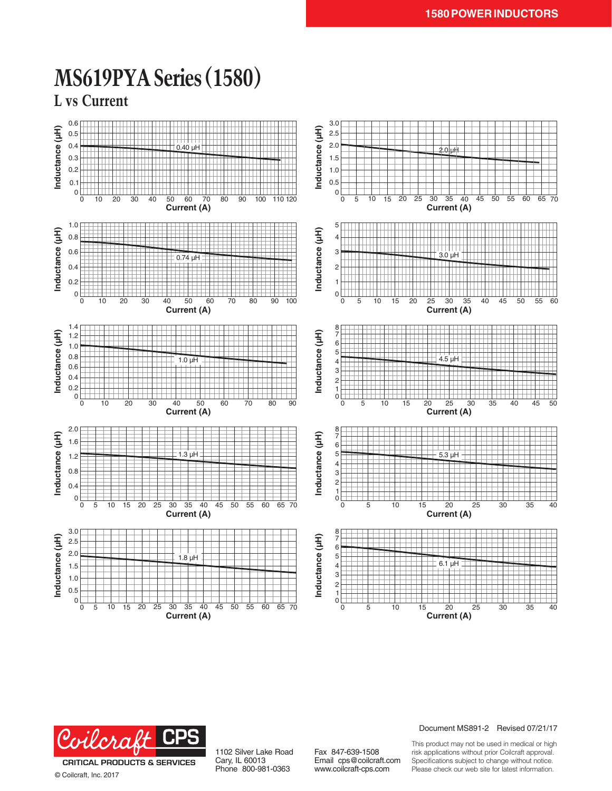



© Coilcraft, Inc. 2017

1102 Silver Lake Road Cary, IL 60013 Phone 800-981-0363

Fax 847-639-1508 Email cps@coilcraft.com www.coilcraft-cps.com

# Document MS891-2 Revised 07/21/17

This product may not be used in medical or high risk applications without prior Coilcraft approval. Specifications subject to change without notice. Please check our web site for latest information.